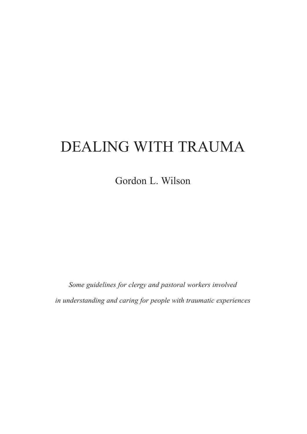# DEALING WITH TRAUMA

Gordon L. Wilson

*Some guidelines for clergy and pastoral workers involved in understanding and caring for people with traumatic experiences*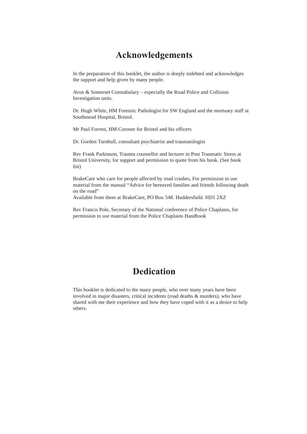## **Acknowledgements**

In the preparation of this booklet, the author is deeply indebted and acknowledges the support and help given by many people.

Avon & Somerset Constabulary – especially the Road Police and Collision Investigation units.

Dr. Hugh White, HM Forensic Pathologist for SW England and the mortuary staff at Southmead Hospital, Bristol.

Mr Paul Forrest, HM Coroner for Bristol and his officers

Dr. Gordon Turnbull, consultant psychiatrist and traumatologist

Rev Frank Parkinson, Trauma counsellor and lecturer in Post Traumatic Stress at Bristol University, for support and permission to quote from his book. (See book list)

BrakeCare who care for people affected by road crashes, For permission to use material from the manual "Advice for bereaved families and friends following death on the road"

Available from them at BrakeCare, PO Box 548. Huddersfield. HD1 2XZ

Rev Francis Pole, Secretary of the National conference of Police Chaplains, for permission to use material from the Police Chaplains Handbook

## **Dedication**

This booklet is dedicated to the many people, who over many years have been involved in major disasters, critical incidents (road deaths & murders), who have shared with me their experience and how they have coped with it as a desire to help others.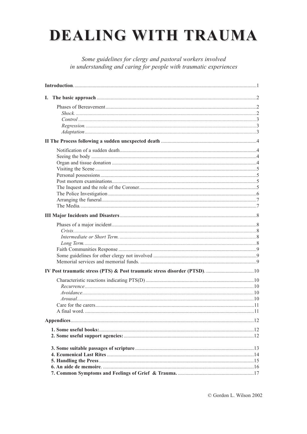# **DEALING WITH TRAUMA**

Some guidelines for clergy and pastoral workers involved in understanding and caring for people with traumatic experiences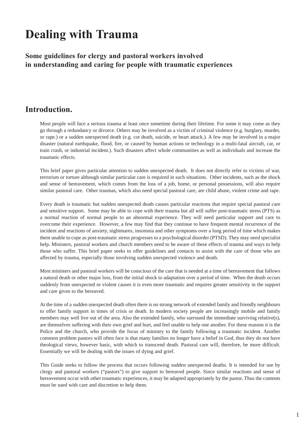## **Dealing with Trauma**

#### **Some guidelines for clergy and pastoral workers involved in understanding and caring for people with traumatic experiences**

### **Introduction.**

Most people will face a serious trauma at least once sometime during their lifetime. For some it may come as they go through a redundancy or divorce. Others may be involved as a victim of criminal violence (e.g. burglary, murder, or rape.) or a sudden unexpected death (e.g. cot death, suicide, or heart attack.). A few may be involved in a major disaster (natural earthquake, flood, fire, or caused by human actions or technology in a multi-fatal aircraft, car, or train crash, or industrial incident.). Such disasters affect whole communities as well as individuals and increase the traumatic effects.

This brief paper gives particular attention to sudden unexpected death. It does not directly refer to victims of war, terrorism or torture although similar particular care is required in such situations. Other incidents, such as the shock and sense of bereavement, which comes from the loss of a job, home, or personal possessions, will also require similar pastoral care. Other traumas, which also need special pastoral care, are child abuse, violent crime and rape.

Every death is traumatic but sudden unexpected death causes particular reactions that require special pastoral care and sensitive support. Some may be able to cope with their trauma but all will suffer post-traumatic stress (PTS) as a normal reaction of normal people to an abnormal experience. They will need particular support and care to overcome their experience. However, a few may find that they continue to have frequent mental recurrence of the incident and reactions of anxiety, nightmares, insomnia and other symptoms over a long period of time which makes them unable to cope as post-traumatic stress progresses to a psychological disorder (PTSD). They may need specialist help. Ministers, pastoral workers and church members need to be aware of these effects of trauma and ways to help those who suffer. This brief paper seeks to offer guidelines and contacts to assist with the care of those who are affected by trauma, especially those involving sudden unexpected violence and death.

Most ministers and pastoral workers will be conscious of the care that is needed at a time of bereavement that follows a natural death or other major loss, from the initial shock to adaptation over a period of time. When the death occurs suddenly from unexpected or violent causes it is even more traumatic and requires greater sensitivity in the support and care given to the bereaved.

At the time of a sudden unexpected death often there is no strong network of extended family and friendly neighbours to offer family support in times of crisis or death. In modern society people are increasingly mobile and family members may well live out of the area. Also the extended family, who surround the immediate surviving relative(s), are themselves suffering with their own grief and hurt, and feel unable to help one another. For these reasons it is the Police and the church, who provide the focus of ministry to the family following a traumatic incident. Another common problem pastors will often face is that many families no longer have a belief in God, thus they do not have theological views, however basic, with which to transcend death. Pastoral care will, therefore, be more difficult. Essentially we will be dealing with the issues of dying and grief.

This Guide seeks to follow the process that occurs following sudden unexpected deaths. It is intended for use by clergy and pastoral workers ("pastors") to give support to bereaved people. Since similar reactions and sense of bereavement occur with other traumatic experiences, it may be adapted appropriately by the pastor. Thus the contents must be used with care and discretion to help them.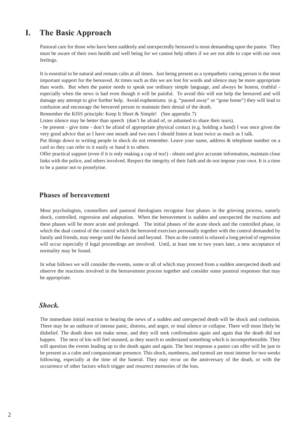## **I. The Basic Approach**

Pastoral care for those who have been suddenly and unexpectedly bereaved is most demanding upon the pastor. They must be aware of their own health and well being for we cannot help others if we are not able to cope with our own feelings.

It is essential to be natural and remain calm at all times. Just being present as a sympathetic caring person is the most important support for the bereaved. At times such as this we are lost for words and silence may be more appropriate than words. But when the pastor needs to speak use ordinary simple language, and always be honest, truthful especially when the news is bad even though it will be painful. To avoid this will not help the bereaved and will damage any attempt to give further help. Avoid euphemisms (e.g. "passed away" or "gone home") they will lead to confusion and encourage the bereaved person to maintain their denial of the death.

Remember the KISS principle: Keep It Short & Simple! (See appendix 7)

Listen silence may be better than speech (don't be afraid of, or ashamed to share their tears).

- be present - give time - don't be afraid of appropriate physical contact (e.g. holding a hand) I was once given the very good advice that as I have one mouth and two ears I should listen at least twice as much as I talk.

Put things down in writing people in shock do not remember. Leave your name, address & telephone number on a card so they can refer to it easily or hand it to others

Offer practical support (even if it is only making a cup of tea!) - obtain and give accurate information, maintain close links with the police, and others involved. Respect the integrity of their faith and do not impose your own. It is a time to be a pastor not to proselytise.

#### **Phases of bereavement**

Most psychologists, counsellors and pastoral theologians recognise four phases in the grieving process, namely shock, controlled, regression and adaptation. When the bereavement is sudden and unexpected the reactions and these phases will be more acute and prolonged. The initial phases of the acute shock and the controlled phase, in which the dual control of the control which the bereaved exercises personally together with the control demanded by family and friends, may merge until the funeral and beyond. Then as the control is relaxed a long period of regression will occur especially if legal proceedings are involved. Until, at least one to two years later, a new acceptance of normality may be found.

In what follows we will consider the events, some or all of which may proceed from a sudden unexpected death and observe the reactions involved in the bereavement process together and consider some pastoral responses that may be appropriate.

#### *Shock.*

The immediate initial reaction to hearing the news of a sudden and unexpected death will be shock and confusion. There may be an outburst of intense panic, distress, and anger, or total silence or collapse. There will most likely be disbelief. The death does not make sense, and they will seek confirmation again and again that the death did not happen. The next of kin will feel stunned, as they search to understand something which is incomprehensible. They will question the events leading up to the death again and again. The best response a pastor can offer will be just to be present as a calm and compassionate presence. This shock, numbness, and turmoil are most intense for two weeks following, especially at the time of the funeral. They may recur on the anniversary of the death, or with the occurrence of other factors which trigger and resurrect memories of the loss.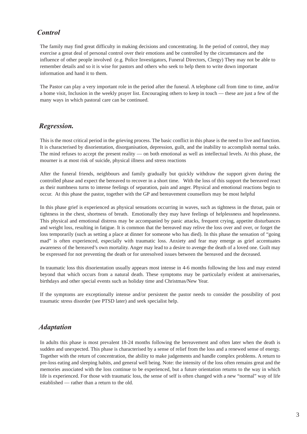#### *Control*

The family may find great difficulty in making decisions and concentrating. In the period of control, they may exercise a great deal of personal control over their emotions and be controlled by the circumstances and the influence of other people involved (e.g. Police Investigators, Funeral Directors, Clergy) They may not be able to remember details and so it is wise for pastors and others who seek to help them to write down important information and hand it to them.

The Pastor can play a very important role in the period after the funeral. A telephone call from time to time, and/or a home visit, Inclusion in the weekly prayer list. Encouraging others to keep in touch — these are just a few of the many ways in which pastoral care can be continued.

#### *Regression.*

This is the most critical period in the grieving process. The basic conflict in this phase is the need to live and function. It is characterised by disorientation, disorganisation, depression, guilt, and the inability to accomplish normal tasks. The mind refuses to accept the present reality — on both emotional as well as intellectual levels. At this phase, the mourner is at most risk of suicide, physical illness and stress reactions

After the funeral friends, neighbours and family gradually but quickly withdraw the support given during the controlled phase and expect the bereaved to recover in a short time. With the loss of this support the bereaved react as their numbness turns to intense feelings of separation, pain and anger. Physical and emotional reactions begin to occur. At this phase the pastor, together with the GP and bereavement counsellors may be most helpful

In this phase grief is experienced as physical sensations occurring in waves, such as tightness in the throat, pain or tightness in the chest, shortness of breath. Emotionally they may have feelings of helplessness and hopelessness. This physical and emotional distress may be accompanied by panic attacks, frequent crying, appetite disturbances and weight loss, resulting in fatigue. It is common that the bereaved may relive the loss over and over, or forget the loss temporarily (such as setting a place at dinner for someone who has died). In this phase the sensation of "going mad" is often experienced, especially with traumatic loss. Anxiety and fear may emerge as grief accentuates awareness of the bereaved's own mortality. Anger may lead to a desire to avenge the death of a loved one. Guilt may be expressed for not preventing the death or for unresolved issues between the bereaved and the deceased.

In traumatic loss this disorientation usually appears most intense in 4-6 months following the loss and may extend beyond that which occurs from a natural death. These symptoms may be particularly evident at anniversaries, birthdays and other special events such as holiday time and Christmas/New Year.

If the symptoms are exceptionally intense and/or persistent the pastor needs to consider the possibility of post traumatic stress disorder (see PTSD later) and seek specialist help.

#### *Adaptation*

In adults this phase is most prevalent 18-24 months following the bereavement and often later when the death is sudden and unexpected. This phase is characterised by a sense of relief from the loss and a renewed sense of energy. Together with the return of concentration, the ability to make judgements and handle complex problems. A return to pre-loss eating and sleeping habits, and general well being. Note: the intensity of the loss often remains great and the memories associated with the loss continue to be experienced, but a future orientation returns to the way in which life is experienced. For those with traumatic loss, the sense of self is often changed with a new "normal" way of life established — rather than a return to the old.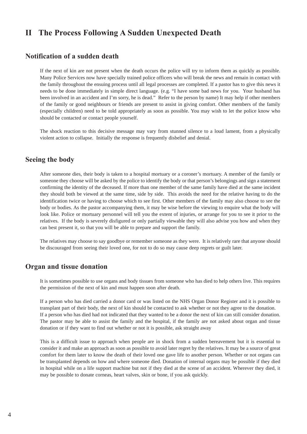## **II The Process Following A Sudden Unexpected Death**

#### **Notification of a sudden death**

If the next of kin are not present when the death occurs the police will try to inform them as quickly as possible. Many Police Services now have specially trained police officers who will break the news and remain in contact with the family throughout the ensuing process until all legal processes are completed. If a pastor has to give this news it needs to be done immediately in simple direct language. (e.g. "I have some bad news for you. Your husband has been involved in an accident and I'm sorry, he is dead." Refer to the person by name) It may help if other members of the family or good neighbours or friends are present to assist in giving comfort. Other members of the family (especially children) need to be told appropriately as soon as possible. You may wish to let the police know who should be contacted or contact people yourself.

The shock reaction to this decisive message may vary from stunned silence to a loud lament, from a physically violent action to collapse. Initially the response is frequently disbelief and denial.

#### **Seeing the body**

After someone dies, their body is taken to a hospital mortuary or a coroner's mortuary. A member of the family or someone they choose will be asked by the police to identify the body or that person's belongings and sign a statement confirming the identity of the deceased. If more than one member of the same family have died at the same incident they should both be viewed at the same time, side by side. This avoids the need for the relative having to do the identification twice or having to choose which to see first. Other members of the family may also choose to see the body or bodies. As the pastor accompanying them, it may be wise before the viewing to enquire what the body will look like. Police or mortuary personnel will tell you the extent of injuries, or arrange for you to see it prior to the relatives. If the body is severely disfigured or only partially viewable they will also advise you how and when they can best present it, so that you will be able to prepare and support the family.

The relatives may choose to say goodbye or remember someone as they were. It is relatively rare that anyone should be discouraged from seeing their loved one, for not to do so may cause deep regrets or guilt later.

#### **Organ and tissue donation**

It is sometimes possible to use organs and body tissues from someone who has died to help others live. This requires the permission of the next of kin and must happen soon after death.

If a person who has died carried a donor card or was listed on the NHS Organ Donor Register and it is possible to transplant part of their body, the next of kin should be contacted to ask whether or not they agree to the donation. If a person who has died had not indicated that they wanted to be a donor the next of kin can still consider donation. The pastor may be able to assist the family and the hospital, if the family are not asked about organ and tissue donation or if they want to find out whether or not it is possible, ask straight away

This is a difficult issue to approach when people are in shock from a sudden bereavement but it is essential to consider it and make an approach as soon as possible to avoid later regret by the relatives. It may be a source of great comfort for them later to know the death of their loved one gave life to another person. Whether or not organs can be transplanted depends on how and where someone died. Donation of internal organs may be possible if they died in hospital while on a life support machine but not if they died at the scene of an accident. Wherever they died, it may be possible to donate corneas, heart valves, skin or bone, if you ask quickly.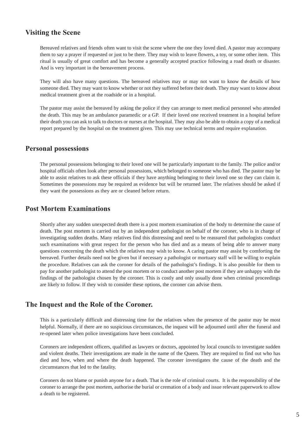#### **Visiting the Scene**

Bereaved relatives and friends often want to visit the scene where the one they loved died. A pastor may accompany them to say a prayer if requested or just to be there. They may wish to leave flowers, a toy, or some other item. This ritual is usually of great comfort and has become a generally accepted practice following a road death or disaster. And is very important in the bereavement process.

They will also have many questions. The bereaved relatives may or may not want to know the details of how someone died. They may want to know whether or not they suffered before their death. They may want to know about medical treatment given at the roadside or in a hospital.

The pastor may assist the bereaved by asking the police if they can arrange to meet medical personnel who attended the death. This may be an ambulance paramedic or a GP. If their loved one received treatment in a hospital before their death you can ask to talk to doctors or nurses at the hospital. They may also be able to obtain a copy of a medical report prepared by the hospital on the treatment given. This may use technical terms and require explanation.

#### **Personal possessions**

The personal possessions belonging to their loved one will be particularly important to the family. The police and/or hospital officials often look after personal possessions, which belonged to someone who has died. The pastor may be able to assist relatives to ask these officials if they have anything belonging to their loved one so they can claim it. Sometimes the possessions may be required as evidence but will be returned later. The relatives should be asked if they want the possessions as they are or cleaned before return.

#### **Post Mortem Examinations**

Shortly after any sudden unexpected death there is a post mortem examination of the body to determine the cause of death. The post mortem is carried out by an independent pathologist on behalf of the coroner, who is in charge of investigating sudden deaths. Many relatives find this distressing and need to be reassured that pathologists conduct such examinations with great respect for the person who has died and as a means of being able to answer many questions concerning the death which the relatives may wish to know. A caring pastor may assist by comforting the bereaved. Further details need not be given but if necessary a pathologist or mortuary staff will be willing to explain the procedure. Relatives can ask the coroner for details of the pathologist's findings. It is also possible for them to pay for another pathologist to attend the post mortem or to conduct another post mortem if they are unhappy with the findings of the pathologist chosen by the coroner. This is costly and only usually done when criminal proceedings are likely to follow. If they wish to consider these options, the coroner can advise them.

#### **The Inquest and the Role of the Coroner.**

This is a particularly difficult and distressing time for the relatives when the presence of the pastor may be most helpful. Normally, if there are no suspicious circumstances, the inquest will be adjourned until after the funeral and re-opened later when police investigations have been concluded.

Coroners are independent officers, qualified as lawyers or doctors, appointed by local councils to investigate sudden and violent deaths. Their investigations are made in the name of the Queen. They are required to find out who has died and how, when and where the death happened. The coroner investigates the cause of the death and the circumstances that led to the fatality.

Coroners do not blame or punish anyone for a death. That is the role of criminal courts. It is the responsibility of the coroner to arrange the post mortem, authorise the burial or cremation of a body and issue relevant paperwork to allow a death to be registered.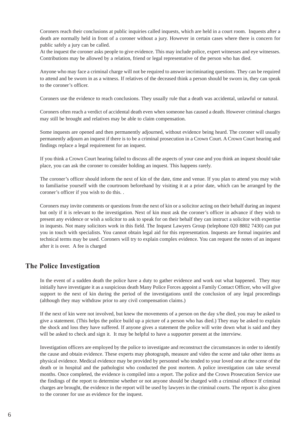Coroners reach their conclusions at public inquiries called inquests, which are held in a court room. Inquests after a death are normally held in front of a coroner without a jury. However in certain cases where there is concern for public safely a jury can be called.

At the inquest the coroner asks people to give evidence. This may include police, expert witnesses and eye witnesses. Contributions may be allowed by a relation, friend or legal representative of the person who has died.

Anyone who may face a criminal charge will not be required to answer incriminating questions. They can be required to attend and be sworn in as a witness. If relatives of the deceased think a person should be sworn in, they can speak to the coroner's officer.

Coroners use the evidence to reach conclusions. They usually rule that a death was accidental, unlawful or natural.

Coroners often reach a verdict of accidental death even when someone has caused a death. However criminal charges may still be brought and relatives may be able to claim compensation.

Some inquests are opened and then permanently adjourned, without evidence being heard. The coroner will usually permanently adjourn an inquest if there is to be a criminal prosecution in a Crown Court. A Crown Court hearing and findings replace a legal requirement for an inquest.

If you think a Crown Court hearing failed to discuss all the aspects of your case and you think an inquest should take place, you can ask the coroner to consider holding an inquest. This happens rarely.

The coroner's officer should inform the next of kin of the date, time and venue. If you plan to attend you may wish to familiarise yourself with the courtroom beforehand by visiting it at a prior date, which can be arranged by the coroner's officer if you wish to do this. .

Coroners may invite comments or questions from the next of kin or a solicitor acting on their behalf during an inquest but only if it is relevant to the investigation. Next of kin must ask the coroner's officer in advance if they wish to present any evidence or wish a solicitor to ask to speak for on their behalf they can instruct a solicitor with expertise in inquests. Not many solicitors work in this field. The Inquest Lawyers Group (telephone 020 8802 7430) can put you in touch with specialists. You cannot obtain legal aid for this representation. Inquests are formal inquiries and technical terms may be used. Coroners will try to explain complex evidence. You can request the notes of an inquest after it is over. A fee is charged

#### **The Police Investigation**

In the event of a sudden death the police have a duty to gather evidence and work out what happened. They may initially have investigate it as a suspicious death Many Police Forces appoint a Family Contact Officer, who will give support to the next of kin during the period of the investigations until the conclusion of any legal proceedings (although they may withdraw prior to any civil compensation claims.)

If the next of kin were not involved, but knew the movements of a person on the day s/he died, you may be asked to give a statement. (This helps the police build up a picture of a person who has died.) They may be asked to explain the shock and loss they have suffered. If anyone gives a statement the police will write down what is said and they will be asked to check and sign it. It may be helpful to have a supporter present at the interview.

Investigation officers are employed by the police to investigate and reconstruct the circumstances in order to identify the cause and obtain evidence. These experts may photograph, measure and video the scene and take other items as physical evidence. Medical evidence may be provided by personnel who tended to your loved one at the scene of the death or in hospital and the pathologist who conducted the post mortem. A police investigation can take several months. Once completed, the evidence is compiled into a report. The police and the Crown Prosecution Service use the findings of the report to determine whether or not anyone should be charged with a criminal offence If criminal charges are brought, the evidence in the report will be used by lawyers in the criminal courts. The report is also given to the coroner for use as evidence for the inquest.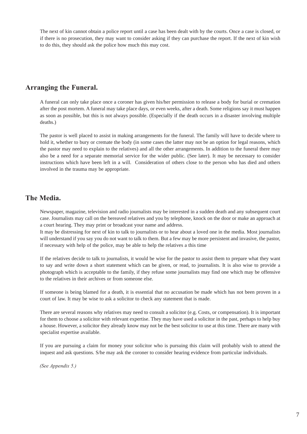The next of kin cannot obtain a police report until a case has been dealt with by the courts. Once a case is closed, or if there is no prosecution, they may want to consider asking if they can purchase the report. If the next of kin wish to do this, they should ask the police how much this may cost.

#### **Arranging the Funeral.**

A funeral can only take place once a coroner has given his/her permission to release a body for burial or cremation after the post mortem. A funeral may take place days, or even weeks, after a death. Some religions say it must happen as soon as possible, but this is not always possible. (Especially if the death occurs in a disaster involving multiple deaths.)

The pastor is well placed to assist in making arrangements for the funeral. The family will have to decide where to hold it, whether to bury or cremate the body (in some cases the latter may not be an option for legal reasons, which the pastor may need to explain to the relatives) and all the other arrangements. In addition to the funeral there may also be a need for a separate memorial service for the wider public. (See later). It may be necessary to consider instructions which have been left in a will. Consideration of others close to the person who has died and others involved in the trauma may be appropriate.

#### **The Media.**

Newspaper, magazine, television and radio journalists may be interested in a sudden death and any subsequent court case. Journalists may call on the bereaved relatives and you by telephone, knock on the door or make an approach at a court hearing. They may print or broadcast your name and address.

It may be distressing for next of kin to talk to journalists or to hear about a loved one in the media. Most journalists will understand if you say you do not want to talk to them. But a few may be more persistent and invasive, the pastor, if necessary with help of the police, may be able to help the relatives a this time

If the relatives decide to talk to journalists, it would be wise for the pastor to assist them to prepare what they want to say and write down a short statement which can be given, or read, to journalists. It is also wise to provide a photograph which is acceptable to the family, if they refuse some journalists may find one which may be offensive to the relatives in their archives or from someone else.

If someone is being blamed for a death, it is essential that no accusation be made which has not been proven in a court of law. It may be wise to ask a solicitor to check any statement that is made.

There are several reasons why relatives may need to consult a solicitor (e.g. Costs, or compensation). It is important for them to choose a solicitor with relevant expertise. They may have used a solicitor in the past, perhaps to help buy a house. However, a solicitor they already know may not be the best solicitor to use at this time. There are many with specialist expertise available.

If you are pursuing a claim for money your solicitor who is pursuing this claim will probably wish to attend the inquest and ask questions. S/he may ask the coroner to consider hearing evidence from particular individuals.

*(See Appendix 5.)*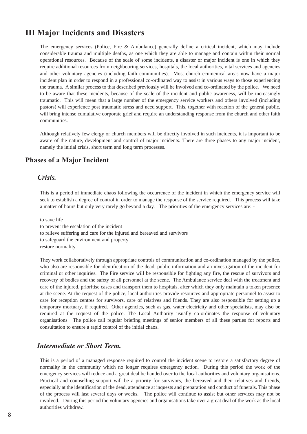## **III Major Incidents and Disasters**

The emergency services (Police, Fire & Ambulance) generally define a critical incident, which may include considerable trauma and multiple deaths, as one which they are able to manage and contain within their normal operational resources. Because of the scale of some incidents, a disaster or major incident is one in which they require additional resources from neighbouring services, hospitals, the local authorities, vital services and agencies and other voluntary agencies (including faith communities). Most church ecumenical areas now have a major incident plan in order to respond in a professional co-ordinated way to assist in various ways to those experiencing the trauma. A similar process to that described previously will be involved and co-ordinated by the police. We need to be aware that these incidents, because of the scale of the incident and public awareness, will be increasingly traumatic. This will mean that a large number of the emergency service workers and others involved (including pastors) will experience post traumatic stress and need support. This, together with reaction of the general public, will bring intense cumulative corporate grief and require an understanding response from the church and other faith communities.

Although relatively few clergy or church members will be directly involved in such incidents, it is important to be aware of the nature, development and control of major incidents. There are three phases to any major incident, namely the initial crisis, short term and long term processes.

#### **Phases of a Major Incident**

#### *Crisis.*

This is a period of immediate chaos following the occurrence of the incident in which the emergency service will seek to establish a degree of control in order to manage the response of the service required. This process will take a matter of hours but only very rarely go beyond a day. The priorities of the emergency services are: -

to save life to prevent the escalation of the incident to relieve suffering and care for the injured and bereaved and survivors to safeguard the environment and property restore normality

They work collaboratively through appropriate controls of communication and co-ordination managed by the police, who also are responsible for identification of the dead, public information and an investigation of the incident for criminal or other inquiries. The Fire service will be responsible for fighting any fire, the rescue of survivors and recovery of bodies and the safety of all personnel at the scene. The Ambulance service deal with the treatment and care of the injured, prioritise cases and transport them to hospitals, after which they only maintain a token presence at the scene. At the request of the police, local authorities provide resources and appropriate personnel to assist to care for reception centres for survivors, care of relatives and friends. They are also responsible for setting up a temporary mortuary, if required. Other agencies, such as gas, water electricity and other specialists, may also be required at the request of the police. The Local Authority usually co-ordinates the response of voluntary organisations. The police call regular briefing meetings of senior members of all these parties for reports and consultation to ensure a rapid control of the initial chaos.

#### *Intermediate or Short Term.*

This is a period of a managed response required to control the incident scene to restore a satisfactory degree of normality in the community which no longer requires emergency action. During this period the work of the emergency services will reduce and a great deal be handed over to the local authorities and voluntary organisations. Practical and counselling support will be a priority for survivors, the bereaved and their relatives and friends, especially at the identification of the dead, attendance at inquests and preparation and conduct of funerals. This phase of the process will last several days or weeks. The police will continue to assist but other services may not be involved. During this period the voluntary agencies and organisations take over a great deal of the work as the local authorities withdraw.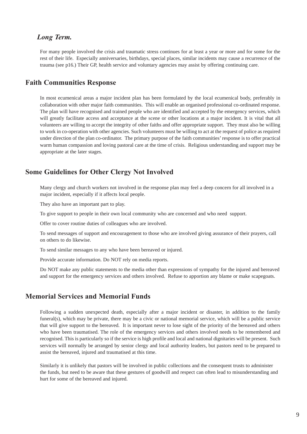#### *Long Term.*

For many people involved the crisis and traumatic stress continues for at least a year or more and for some for the rest of their life. Especially anniversaries, birthdays, special places, similar incidents may cause a recurrence of the trauma (see p16.) Their GP, health service and voluntary agencies may assist by offering continuing care.

#### **Faith Communities Response**

In most ecumenical areas a major incident plan has been formulated by the local ecumenical body, preferably in collaboration with other major faith communities. This will enable an organised professional co-ordinated response. The plan will have recognised and trained people who are identified and accepted by the emergency services, which will greatly facilitate access and acceptance at the scene or other locations at a major incident. It is vital that all volunteers are willing to accept the integrity of other faiths and offer appropriate support. They must also be willing to work in co-operation with other agencies. Such volunteers must be willing to act at the request of police as required under direction of the plan co-ordinator. The primary purpose of the faith communities' response is to offer practical warm human compassion and loving pastoral care at the time of crisis. Religious understanding and support may be appropriate at the later stages.

#### **Some Guidelines for Other Clergy Not Involved**

Many clergy and church workers not involved in the response plan may feel a deep concern for all involved in a major incident, especially if it affects local people.

They also have an important part to play.

To give support to people in their own local community who are concerned and who need support.

Offer to cover routine duties of colleagues who are involved.

To send messages of support and encouragement to those who are involved giving assurance of their prayers, call on others to do likewise.

To send similar messages to any who have been bereaved or injured.

Provide accurate information. Do NOT rely on media reports.

Do NOT make any public statements to the media other than expressions of sympathy for the injured and bereaved and support for the emergency services and others involved. Refuse to apportion any blame or make scapegoats.

#### **Memorial Services and Memorial Funds**

Following a sudden unexpected death, especially after a major incident or disaster, in addition to the family funeral(s), which may be private, there may be a civic or national memorial service, which will be a public service that will give support to the bereaved. It is important never to lose sight of the priority of the bereaved and others who have been traumatised. The role of the emergency services and others involved needs to be remembered and recognised. This is particularly so if the service is high profile and local and national dignitaries will be present. Such services will normally be arranged by senior clergy and local authority leaders, but pastors need to be prepared to assist the bereaved, injured and traumatised at this time.

Similarly it is unlikely that pastors will be involved in public collections and the consequent trusts to administer the funds, but need to be aware that these gestures of goodwill and respect can often lead to misunderstanding and hurt for some of the bereaved and injured.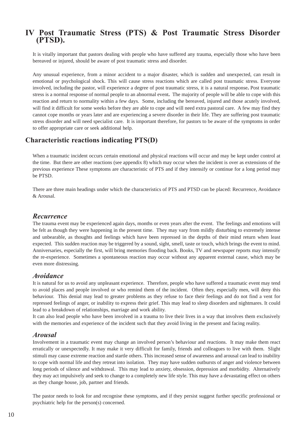## **IV Post Traumatic Stress (PTS) & Post Traumatic Stress Disorder (PTSD).**

It is vitally important that pastors dealing with people who have suffered any trauma, especially those who have been bereaved or injured, should be aware of post traumatic stress and disorder.

Any unusual experience, from a minor accident to a major disaster, which is sudden and unexpected, can result in emotional or psychological shock. This will cause stress reactions which are called post traumatic stress. Everyone involved, including the pastor, will experience a degree of post traumatic stress, it is a natural response**.** Post traumatic stress is a normal response of normal people to an abnormal event**.** The majority of people will be able to cope with this reaction and return to normality within a few days. Some, including the bereaved, injured and those acutely involved, will find it difficult for some weeks before they are able to cope and will need extra pastoral care. A few may find they cannot cope months or years later and are experiencing a severe disorder in their life. They are suffering post traumatic stress disorder and will need specialist care. It is important therefore, for pastors to be aware of the symptoms in order to offer appropriate care or seek additional help.

#### **Characteristic reactions indicating PTS(D)**

When a traumatic incident occurs certain emotional and physical reactions will occur and may be kept under control at the time. But there are other reactions (see appendix 8) which may occur when the incident is over as extensions of the previous experience These symptoms are characteristic of PTS and if they intensify or continue for a long period may be PTSD.

There are three main headings under which the characteristics of PTS and PTSD can be placed: Recurrence, Avoidance & Arousal.

#### *Recurrence*

The trauma event may be experienced again days, months or even years after the event. The feelings and emotions will be felt as though they were happening in the present time. They may vary from mildly disturbing to extremely intense and unbearable, as thoughts and feelings which have been repressed in the depths of their mind return when least expected. This sudden reaction may be triggered by a sound, sight, smell, taste or touch, which brings the event to mind. Anniversaries, especially the first, will bring memories flooding back. Books, TV and newspaper reports may intensify the re-experience. Sometimes a spontaneous reaction may occur without any apparent external cause, which may be even more distressing.

#### *Avoidance*

It is natural for us to avoid any unpleasant experience. Therefore, people who have suffered a traumatic event may tend to avoid places and people involved or who remind them of the incident. Often they, especially men, will deny this behaviour. This denial may lead to greater problems as they refuse to face their feelings and do not find a vent for repressed feelings of anger, or inability to express their grief. This may lead to sleep disorders and nightmares. It could lead to a breakdown of relationships, marriage and work ability.

It can also lead people who have been involved in a trauma to live their lives in a way that involves them exclusively with the memories and experience of the incident such that they avoid living in the present and facing reality.

#### *Arousal*

Involvement in a traumatic event may change an involved person's behaviour and reactions. It may make them react erratically or unexpectedly. It may make it very difficult for family, friends and colleagues to live with them. Slight stimuli may cause extreme reaction and startle others. This increased sense of awareness and arousal can lead to inability to cope with normal life and they retreat into isolation. They may have sudden outbursts of anger and violence between long periods of silence and withdrawal. This may lead to anxiety, obsession, depression and morbidity. Alternatively they may act impulsively and seek to change to a completely new life style. This may have a devastating effect on others as they change house, job, partner and friends.

The pastor needs to look for and recognise these symptoms, and if they persist suggest further specific professional or psychiatric help for the person(s) concerned.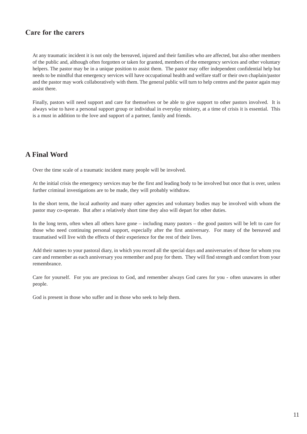#### **Care for the carers**

At any traumatic incident it is not only the bereaved, injured and their families who are affected, but also other members of the public and, although often forgotten or taken for granted, members of the emergency services and other voluntary helpers. The pastor may be in a unique position to assist them. The pastor may offer independent confidential help but needs to be mindful that emergency services will have occupational health and welfare staff or their own chaplain/pastor and the pastor may work collaboratively with them. The general public will turn to help centres and the pastor again may assist there.

Finally, pastors will need support and care for themselves or be able to give support to other pastors involved. It is always wise to have a personal support group or individual in everyday ministry, at a time of crisis it is essential. This is a must in addition to the love and support of a partner, family and friends.

### **A Final Word**

Over the time scale of a traumatic incident many people will be involved.

At the initial crisis the emergency services may be the first and leading body to be involved but once that is over, unless further criminal investigations are to be made, they will probably withdraw.

In the short term, the local authority and many other agencies and voluntary bodies may be involved with whom the pastor may co-operate. But after a relatively short time they also will depart for other duties.

In the long term, often when all others have gone – including many pastors – the good pastors will be left to care for those who need continuing personal support, especially after the first anniversary. For many of the bereaved and traumatised will live with the effects of their experience for the rest of their lives.

Add their names to your pastoral diary, in which you record all the special days and anniversaries of those for whom you care and remember as each anniversary you remember and pray for them. They will find strength and comfort from your remembrance.

Care for yourself. For you are precious to God, and remember always God cares for you - often unawares in other people.

God is present in those who suffer and in those who seek to help them.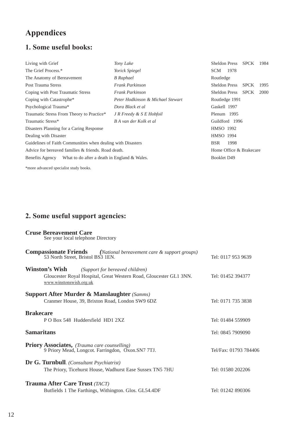## **Appendices**

## **1. Some useful books:**

| Living with Grief                                               | Tony Lake                          | <b>Sheldon Press</b> |                         | <b>SPCK</b> | 1984 |  |
|-----------------------------------------------------------------|------------------------------------|----------------------|-------------------------|-------------|------|--|
| The Grief Process.*                                             | Yorick Spiegel                     | <b>SCM</b>           | 1978                    |             |      |  |
| The Anatomy of Bereavement                                      | <b>B</b> Raphael                   | Routledge            |                         |             |      |  |
| Post Trauma Stress                                              | <b>Frank Parkinson</b>             | <b>Sheldon Press</b> |                         | <b>SPCK</b> | 1995 |  |
| Coping with Post Traumatic Stress                               | <b>Frank Parkinson</b>             | <b>Sheldon Press</b> |                         | SPCK        | 2000 |  |
| Coping with Catastrophe*                                        | Peter Hodkinson & Michael Stewart  | Routledge 1991       |                         |             |      |  |
| Psychological Trauma*                                           | Dora Black et al                   | Gaskell 1997         |                         |             |      |  |
| Traumatic Stress From Theory to Practice*                       | <i>JR Freedy &amp; S E Hobfoil</i> | Plenum 1995          |                         |             |      |  |
| Traumatic Stress*                                               | B A van der Kolk et al             | Guildford 1996       |                         |             |      |  |
| Disasters Planning for a Caring Response                        |                                    | <b>HMSO 1992</b>     |                         |             |      |  |
| Dealing with Disaster                                           |                                    |                      | <b>HMSO 1994</b>        |             |      |  |
| Guidelines of Faith Communities when dealing with Disasters     |                                    |                      | 1998                    |             |      |  |
| Advice for bereaved families & friends. Road death.             |                                    |                      | Home Office & Brakecare |             |      |  |
| What to do after a death in England & Wales.<br>Benefits Agency |                                    | <b>Booklet D49</b>   |                         |             |      |  |

\*more advanced specialist study books.

## **2. Some useful support agencies:**

| <b>Cruse Bereavement Care</b><br>See your local telephone Directory                                                                                       |                       |
|-----------------------------------------------------------------------------------------------------------------------------------------------------------|-----------------------|
| <b>Compassionate Friends</b> (National bereavement care & support groups)<br>53 North Street, Bristol BS3 1EN.                                            | Tel: 0117 953 9639    |
| <b>Winston's Wish</b><br>(Support for bereaved children)<br>Gloucester Royal Hospital, Great Western Road, Gloucester GL1 3NN.<br>www.winstonswish.org.uk | Tel: 01452 394377     |
| <b>Support After Murder &amp; Manslaughter (Samms)</b><br>Cranmer House, 39, Brixton Road, London SW9 6DZ                                                 | Tel: 0171 735 3838    |
| <b>Brakecare</b><br>P O Box 548 Huddersfield HD1 2XZ                                                                                                      | Tel: 01484 559909     |
| <b>Samaritans</b>                                                                                                                                         | Tel: 0845 7909090     |
| Priory Associates, (Trauma care counselling)<br>9 Priory Mead, Longcot. Farringdon, Oxon.SN7 7TJ.                                                         | Tel/Fax: 01793 784406 |
| Dr G. Turnbull. (Consultant Psychiatrist)<br>The Priory, Ticehurst House, Wadhurst Ease Sussex TN5 7HU                                                    | Tel: 01580 202206     |
| <b>Trauma After Care Trust (TACT)</b><br>Butfields 1 The Farthings, Withington. Glos. GL54.4DF                                                            | Tel: 01242 890306     |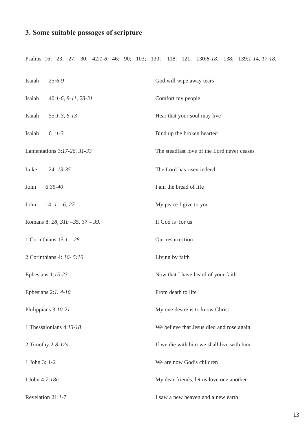## **3. Some suitable passages of scripture**

Psalms 16; 23; 27; 30; 42:*1-8;* 46; 90; 103; 130; 118: 121; 130:*8-18;* 138; 139:*1-14, 17-18.*

| Isaiah                  | $25:6-9$                               | God will wipe away tears                    |  |
|-------------------------|----------------------------------------|---------------------------------------------|--|
| Isaiah                  | $40:1-6$ , $8-11$ , $28-31$            | Comfort my people                           |  |
| Isaiah                  | $55:1-3, 6-13$                         | Hear that your soul may live                |  |
| Isaiah                  | $61:1-3$                               | Bind up the broken hearted                  |  |
|                         | Lamentations 3:17-26, 31-33            | The steadfast love of the Lord never ceases |  |
| Luke                    | 24: 13-35                              | The Lord has risen indeed                   |  |
| John                    | $6:35-40$                              | I am the bread of life                      |  |
| John                    | 14: $1 - 6$ , 27.                      | My peace I give to you                      |  |
|                         | Romans 8: 28, $31b - 35$ , $37 - 39$ . | If God is for us                            |  |
|                         | 1 Corinthians $15:1 - 28$              | Our resurrection                            |  |
|                         | 2 Corinthians 4: 16-5:10               | Living by faith                             |  |
| Ephesians 1:15-23       |                                        | Now that I have heard of your faith         |  |
| Ephesians $2:1.4-10$    |                                        | From death to life                          |  |
| Philippians 3:10-21     |                                        | My one desire is to know Christ             |  |
| 1 Thessalonians 4:13-18 |                                        | We believe that Jesus died and rose again   |  |
| 2 Timothy 2:8-12a       |                                        | If we die with him we shall live with him   |  |
| 1 John 3: 1-2           |                                        | We are now God's children                   |  |
| I John 4:7-18a          |                                        | My dear friends, let us love one another    |  |
| Revelation 21:1-7       |                                        | I saw a new heaven and a new earth          |  |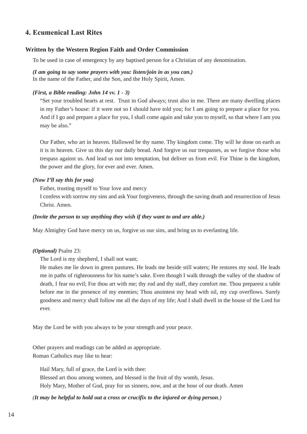#### **4. Ecumenical Last Rites**

#### **Written by the Western Region Faith and Order Commission**

To be used in case of emergency by any baptised person for a Christian of any denomination.

#### *(I am going to say some prayers with you: listen/join in as you can.)* In the name of the Father, and the Son, and the Holy Spirit, Amen.

#### *(First, a Bible reading: John 14 vv. 1 - 3)*

"Set your troubled hearts at rest. Trust in God always; trust also in me. There are many dwelling places in my Father's house: if it were not so I should have told you; for I am going to prepare a place for you. And if I go and prepare a place for you, I shall come again and take you to myself, so that where I am you may be also."

Our Father, who art in heaven. Hallowed be thy name. Thy kingdom come. Thy will he done on earth as it is in heaven. Give us this day our daily bread. And forgive us our trespasses, as we forgive those who trespass against us. And lead us not into temptation, but deliver us from evil. For Thine is the kingdom, the power and the glory, for ever and ever. Amen.

#### *(Now I'll say this for you)*

Father, trusting myself to Your love and mercy

I confess with sorrow my sins and ask Your forgiveness, through the saving death and resurrection of Jesus Christ. Amen.

#### *(Invite the person to say anything they wish if they want to and are able.)*

May Almighty God have mercy on us, forgive us our sins, and bring us to everlasting life.

#### *(Optional)* Psalm 23:

The Lord is my shepherd, I shall not want;

He makes me lie down in green pastures. He leads me beside still waters; He restores my soul. He leads me in paths of righteousness for his name's sake. Even though I walk through the valley of the shadow of death, I fear no evil; For thou art with me; thy rod and thy staff, they comfort me. Thou preparest a table before me in the presence of my enemies; Thou anointest my head with oil, my cup overflows. Surely goodness and mercy shall follow me all the days of my life; And I shall dwell in the house of the Lord for ever.

May the Lord be with you always to be your strength and your peace.

Other prayers and readings can be added as appropriate. Roman Catholics may like to hear:

Hail Mary, full of grace, the Lord is with thee:

Blessed art thou among women, and blessed is the fruit of thy womb, Jesus.

Holy Mary, Mother of God, pray for us sinners, now, and at the hour of our death. Amen

*(It may be helpful to hold out a cross or crucifix to the injured or dying person.)*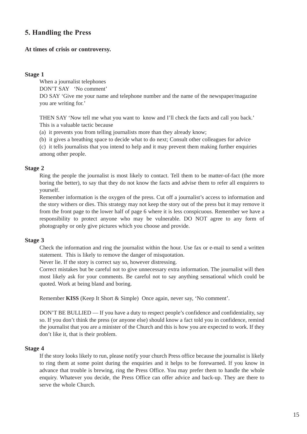#### **5. Handling the Press**

#### **At times of crisis or controversy.**

#### **Stage 1**

When a journalist telephones DON'T SAY 'No comment' DO SAY 'Give me your name and telephone number and the name of the newspaper/magazine you are writing for.'

THEN SAY 'Now tell me what you want to know and I'll check the facts and call you back.' This is a valuable tactic because

(a) it prevents you from telling journalists more than they already know;

(b) it gives a breathing space to decide what to do next; Consult other colleagues for advice

(c) it tells journalists that you intend to help and it may prevent them making further enquiries among other people.

#### **Stage 2**

Ring the people the journalist is most likely to contact. Tell them to be matter-of-fact (the more boring the better), to say that they do not know the facts and advise them to refer all enquirers to yourself.

Remember information is the oxygen of the press. Cut off a journalist's access to information and the story withers or dies. This strategy may not keep the story out of the press but it may remove it from the front page to the lower half of page 6 where it is less conspicuous. Remember we have a responsibility to protect anyone who may be vulnerable. DO NOT agree to any form of photography or only give pictures which you choose and provide.

#### **Stage 3**

Check the information and ring the journalist within the hour. Use fax or e-mail to send a written statement. This is likely to remove the danger of misquotation.

Never lie. If the story is correct say so, however distressing.

Correct mistakes but be careful not to give unnecessary extra information. The journalist will then most likely ask for your comments. Be careful not to say anything sensational which could be quoted. Work at being bland and boring.

Remember **KISS** (Keep It Short & Simple) Once again, never say, 'No comment'.

DON'T BE BULLIED — If you have a duty to respect people's confidence and confidentiality, say so. If you don't think the press (or anyone else) should know a fact told you in confidence, remind the journalist that you are a minister of the Church and this is how you are expected to work. If they don't like it, that is their problem.

#### **Stage 4**

If the story looks likely to run, please notify your church Press office because the journalist is likely to ring them at some point during the enquiries and it helps to be forewarned. If you know in advance that trouble is brewing, ring the Press Office. You may prefer them to handle the whole enquiry. Whatever you decide, the Press Office can offer advice and back-up. They are there to serve the whole Church.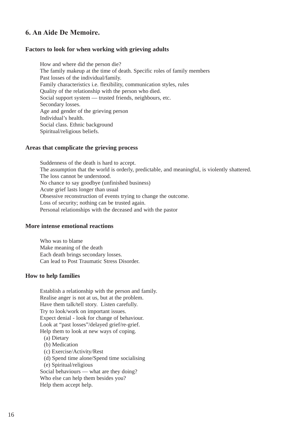#### **6. An Aide De Memoire.**

#### **Factors to look for when working with grieving adults**

How and where did the person die? The family makeup at the time of death. Specific roles of family members Past losses of the individual/family. Family characteristics i.e. flexibility, communication styles, rules Quality of the relationship with the person who died. Social support system — trusted friends, neighbours, etc. Secondary losses. Age and gender of the grieving person Individual's health. Social class. Ethnic background Spiritual/religious beliefs.

#### **Areas that complicate the grieving process**

Suddenness of the death is hard to accept. The assumption that the world is orderly, predictable, and meaningful, is violently shattered. The loss cannot be understood. No chance to say goodbye (unfinished business) Acute grief lasts longer than usual Obsessive reconstruction of events trying to change the outcome. Loss of security; nothing can be trusted again. Personal relationships with the deceased and with the pastor

#### **More intense emotional reactions**

Who was to blame Make meaning of the death Each death brings secondary losses. Can lead to Post Traumatic Stress Disorder.

#### **How to help families**

Establish a relationship with the person and family. Realise anger is not at us, but at the problem. Have them talk/tell story. Listen carefully. Try to look/work on important issues. Expect denial - look for change of behaviour. Look at "past losses"/delayed grief/re-grief. Help them to look at new ways of coping.

- (a) Dietary
- (b) Medication
- (c) Exercise/Activity/Rest
- (d) Spend time alone/Spend time socialising
- (e) Spiritual/religious

Social behaviours — what are they doing? Who else can help them besides you? Help them accept help.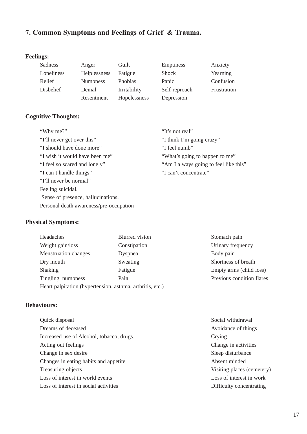## **7. Common Symptoms and Feelings of Grief & Trauma.**

## **Feelings:**

| Sadness          | Anger           | Guilt          | Emptiness     | Anxiety     |
|------------------|-----------------|----------------|---------------|-------------|
| Loneliness       | Helplessness    | Fatigue        | Shock         | Yearning    |
| Relief           | <b>Numbness</b> | <b>Phobias</b> | Panic         | Confusion   |
| <b>Disbelief</b> | Denial          | Irritability   | Self-reproach | Frustration |
|                  | Resentment      | Hopelessness   | Depression    |             |

#### **Cognitive Thoughts:**

| "Why me?"                               | "It's not real"                       |
|-----------------------------------------|---------------------------------------|
| "I'll never get over this"              | "I think I'm going crazy"             |
| "I should have done more"               | "I feel numb"                         |
| "I wish it would have been me"          | "What's going to happen to me"        |
| "I feel so scared and lonely"           | "Am I always going to feel like this" |
| "I can't handle things"                 | "I can't concentrate"                 |
| "I'll never be normal"                  |                                       |
| Feeling suicidal.                       |                                       |
| Sense of presence, hallucinations.      |                                       |
| Personal death awareness/pre-occupation |                                       |

#### **Physical Symptoms:**

| Headaches                                                 | <b>Blurred</b> vision | Stomach pain              |  |
|-----------------------------------------------------------|-----------------------|---------------------------|--|
| Weight gain/loss                                          | Constipation          | Urinary frequency         |  |
| <b>Menstruation</b> changes                               | Dyspnea               | Body pain                 |  |
| Dry mouth                                                 | Sweating              | Shortness of breath       |  |
| Shaking                                                   | Fatigue               | Empty arms (child loss)   |  |
| Tingling, numbness                                        | Pain                  | Previous condition flares |  |
| Heart palpitation (hypertension, asthma, arthritis, etc.) |                       |                           |  |

#### **Behaviours:**

| Quick disposal                            | Social withdrawal          |
|-------------------------------------------|----------------------------|
| Dreams of deceased                        | Avoidance of things        |
| Increased use of Alcohol, tobacco, drugs. | Crying                     |
| Acting out feelings                       | Change in activities       |
| Change in sex desire                      | Sleep disturbance          |
| Changes in eating habits and appetite     | Absent minded              |
| Treasuring objects                        | Visiting places (cemetery) |
| Loss of interest in world events          | Loss of interest in work   |
| Loss of interest in social activities     | Difficulty concentrating   |